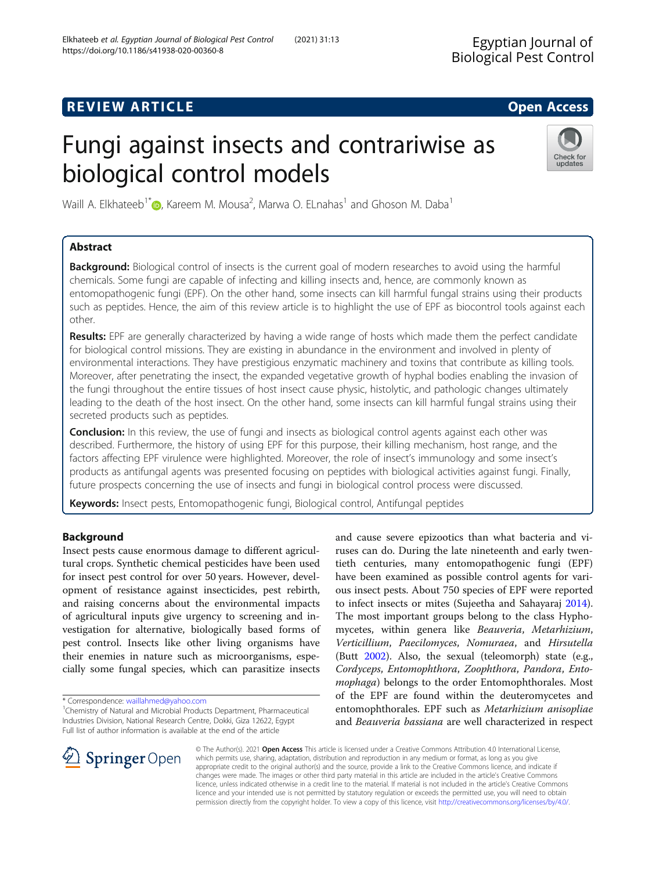# **REVIEW ARTICLE External intervention of the Contract Contract Contract Contract Contract Contract Contract Contract Contract Contract Contract Contract Contract Contract Contract Contract Contract Contract Contract Cont**

# Fungi against insects and contrariwise as biological control models

Waill A. Elkhateeb<sup>1\*</sup> $\bm{\mathbb{O}}$ , Kareem M. Mousa<sup>2</sup>, Marwa O. ELnahas<sup>1</sup> and Ghoson M. Daba<sup>1</sup>

# Abstract

Background: Biological control of insects is the current goal of modern researches to avoid using the harmful chemicals. Some fungi are capable of infecting and killing insects and, hence, are commonly known as entomopathogenic fungi (EPF). On the other hand, some insects can kill harmful fungal strains using their products such as peptides. Hence, the aim of this review article is to highlight the use of EPF as biocontrol tools against each other.

Results: EPF are generally characterized by having a wide range of hosts which made them the perfect candidate for biological control missions. They are existing in abundance in the environment and involved in plenty of environmental interactions. They have prestigious enzymatic machinery and toxins that contribute as killing tools. Moreover, after penetrating the insect, the expanded vegetative growth of hyphal bodies enabling the invasion of the fungi throughout the entire tissues of host insect cause physic, histolytic, and pathologic changes ultimately leading to the death of the host insect. On the other hand, some insects can kill harmful fungal strains using their secreted products such as peptides.

**Conclusion:** In this review, the use of fungi and insects as biological control agents against each other was described. Furthermore, the history of using EPF for this purpose, their killing mechanism, host range, and the factors affecting EPF virulence were highlighted. Moreover, the role of insect's immunology and some insect's products as antifungal agents was presented focusing on peptides with biological activities against fungi. Finally, future prospects concerning the use of insects and fungi in biological control process were discussed.

Keywords: Insect pests, Entomopathogenic fungi, Biological control, Antifungal peptides

# Background

Insect pests cause enormous damage to different agricultural crops. Synthetic chemical pesticides have been used for insect pest control for over 50 years. However, development of resistance against insecticides, pest rebirth, and raising concerns about the environmental impacts of agricultural inputs give urgency to screening and investigation for alternative, biologically based forms of pest control. Insects like other living organisms have their enemies in nature such as microorganisms, especially some fungal species, which can parasitize insects

\* Correspondence: [waillahmed@yahoo.com](mailto:waillahmed@yahoo.com) <sup>1</sup>

**Springer** Open

and cause severe epizootics than what bacteria and viruses can do. During the late nineteenth and early twentieth centuries, many entomopathogenic fungi (EPF) have been examined as possible control agents for various insect pests. About 750 species of EPF were reported to infect insects or mites (Sujeetha and Sahayaraj [2014](#page-8-0)). The most important groups belong to the class Hyphomycetes, within genera like Beauveria, Metarhizium, Verticillium, Paecilomyces, Nomuraea, and Hirsutella (Butt [2002\)](#page-6-0). Also, the sexual (teleomorph) state (e.g., Cordyceps, Entomophthora, Zoophthora, Pandora, Entomophaga) belongs to the order Entomophthorales. Most of the EPF are found within the deuteromycetes and entomophthorales. EPF such as Metarhizium anisopliae and Beauveria bassiana are well characterized in respect

© The Author(s). 2021 Open Access This article is licensed under a Creative Commons Attribution 4.0 International License, which permits use, sharing, adaptation, distribution and reproduction in any medium or format, as long as you give appropriate credit to the original author(s) and the source, provide a link to the Creative Commons licence, and indicate if changes were made. The images or other third party material in this article are included in the article's Creative Commons licence, unless indicated otherwise in a credit line to the material. If material is not included in the article's Creative Commons licence and your intended use is not permitted by statutory regulation or exceeds the permitted use, you will need to obtain permission directly from the copyright holder. To view a copy of this licence, visit <http://creativecommons.org/licenses/by/4.0/>.







<sup>&</sup>lt;sup>1</sup>Chemistry of Natural and Microbial Products Department, Pharmaceutical Industries Division, National Research Centre, Dokki, Giza 12622, Egypt Full list of author information is available at the end of the article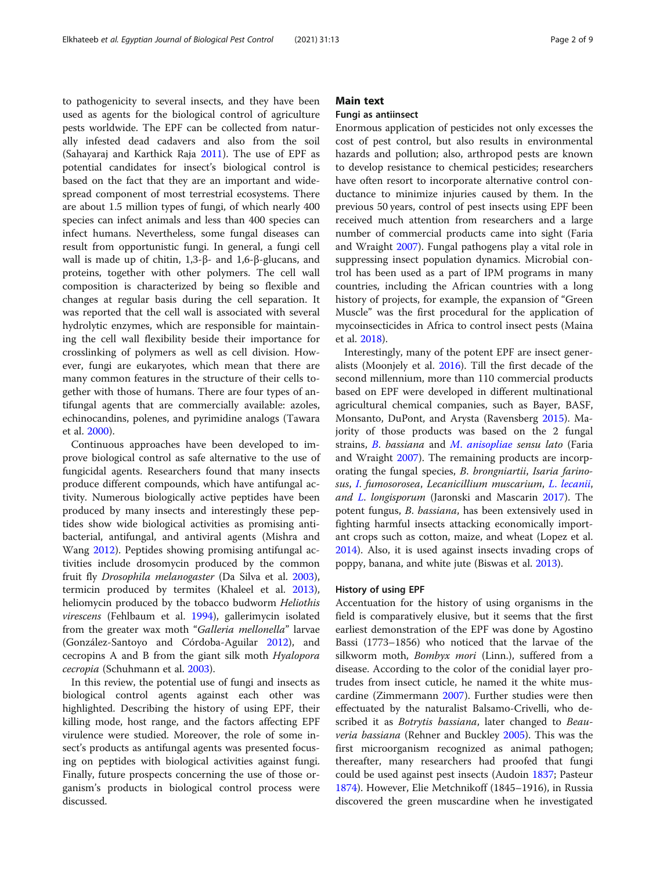to pathogenicity to several insects, and they have been used as agents for the biological control of agriculture pests worldwide. The EPF can be collected from naturally infested dead cadavers and also from the soil (Sahayaraj and Karthick Raja [2011](#page-7-0)). The use of EPF as potential candidates for insect's biological control is based on the fact that they are an important and widespread component of most terrestrial ecosystems. There are about 1.5 million types of fungi, of which nearly 400 species can infect animals and less than 400 species can infect humans. Nevertheless, some fungal diseases can result from opportunistic fungi. In general, a fungi cell wall is made up of chitin, 1,3-β- and 1,6-β-glucans, and proteins, together with other polymers. The cell wall composition is characterized by being so flexible and changes at regular basis during the cell separation. It was reported that the cell wall is associated with several hydrolytic enzymes, which are responsible for maintaining the cell wall flexibility beside their importance for crosslinking of polymers as well as cell division. However, fungi are eukaryotes, which mean that there are many common features in the structure of their cells together with those of humans. There are four types of antifungal agents that are commercially available: azoles, echinocandins, polenes, and pyrimidine analogs (Tawara et al. [2000\)](#page-8-0).

Continuous approaches have been developed to improve biological control as safe alternative to the use of fungicidal agents. Researchers found that many insects produce different compounds, which have antifungal activity. Numerous biologically active peptides have been produced by many insects and interestingly these peptides show wide biological activities as promising antibacterial, antifungal, and antiviral agents (Mishra and Wang [2012](#page-7-0)). Peptides showing promising antifungal activities include drosomycin produced by the common fruit fly Drosophila melanogaster (Da Silva et al. [2003](#page-6-0)), termicin produced by termites (Khaleel et al. [2013](#page-7-0)), heliomycin produced by the tobacco budworm Heliothis virescens (Fehlbaum et al. [1994](#page-6-0)), gallerimycin isolated from the greater wax moth "Galleria mellonella" larvae (González-Santoyo and Córdoba-Aguilar [2012](#page-7-0)), and cecropins A and B from the giant silk moth Hyalopora cecropia (Schuhmann et al. [2003](#page-8-0)).

In this review, the potential use of fungi and insects as biological control agents against each other was highlighted. Describing the history of using EPF, their killing mode, host range, and the factors affecting EPF virulence were studied. Moreover, the role of some insect's products as antifungal agents was presented focusing on peptides with biological activities against fungi. Finally, future prospects concerning the use of those organism's products in biological control process were discussed.

## Main text

#### Fungi as antiinsect

Enormous application of pesticides not only excesses the cost of pest control, but also results in environmental hazards and pollution; also, arthropod pests are known to develop resistance to chemical pesticides; researchers have often resort to incorporate alternative control conductance to minimize injuries caused by them. In the previous 50 years, control of pest insects using EPF been received much attention from researchers and a large number of commercial products came into sight (Faria and Wraight [2007\)](#page-6-0). Fungal pathogens play a vital role in suppressing insect population dynamics. Microbial control has been used as a part of IPM programs in many countries, including the African countries with a long history of projects, for example, the expansion of "Green Muscle" was the first procedural for the application of mycoinsecticides in Africa to control insect pests (Maina et al. [2018\)](#page-7-0).

Interestingly, many of the potent EPF are insect generalists (Moonjely et al. [2016](#page-7-0)). Till the first decade of the second millennium, more than 110 commercial products based on EPF were developed in different multinational agricultural chemical companies, such as Bayer, BASF, Monsanto, DuPont, and Arysta (Ravensberg [2015](#page-7-0)). Majority of those products was based on the 2 fungal strains, [B](https://www.sciencedirect.com/topics/agricultural-and-biological-sciences/beauveria). bassiana and M. [anisopliae](https://www.sciencedirect.com/topics/agricultural-and-biological-sciences/metarhizium-anisopliae) sensu lato (Faria and Wraight [2007](#page-6-0)). The remaining products are incorporating the fungal species, B. brongniartii, Isaria farinosus, [I](https://www.sciencedirect.com/topics/agricultural-and-biological-sciences/isaria). fumosorosea, Lecanicillium muscarium, L. [lecanii](https://www.sciencedirect.com/topics/agricultural-and-biological-sciences/lecanicillium-lecanii), and [L](https://www.sciencedirect.com/topics/agricultural-and-biological-sciences/lecanicillium). longisporum (Jaronski and Mascarin [2017\)](#page-7-0). The potent fungus, B. bassiana, has been extensively used in fighting harmful insects attacking economically important crops such as cotton, maize, and wheat (Lopez et al. [2014](#page-7-0)). Also, it is used against insects invading crops of poppy, banana, and white jute (Biswas et al. [2013](#page-6-0)).

#### History of using EPF

Accentuation for the history of using organisms in the field is comparatively elusive, but it seems that the first earliest demonstration of the EPF was done by Agostino Bassi (1773–1856) who noticed that the larvae of the silkworm moth, Bombyx mori (Linn.), suffered from a disease. According to the color of the conidial layer protrudes from insect cuticle, he named it the white muscardine (Zimmermann [2007\)](#page-8-0). Further studies were then effectuated by the naturalist Balsamo-Crivelli, who described it as *Botrytis bassiana*, later changed to *Beau*veria bassiana (Rehner and Buckley [2005\)](#page-7-0). This was the first microorganism recognized as animal pathogen; thereafter, many researchers had proofed that fungi could be used against pest insects (Audoin [1837](#page-6-0); Pasteur [1874](#page-7-0)). However, Elie Metchnikoff (1845–1916), in Russia discovered the green muscardine when he investigated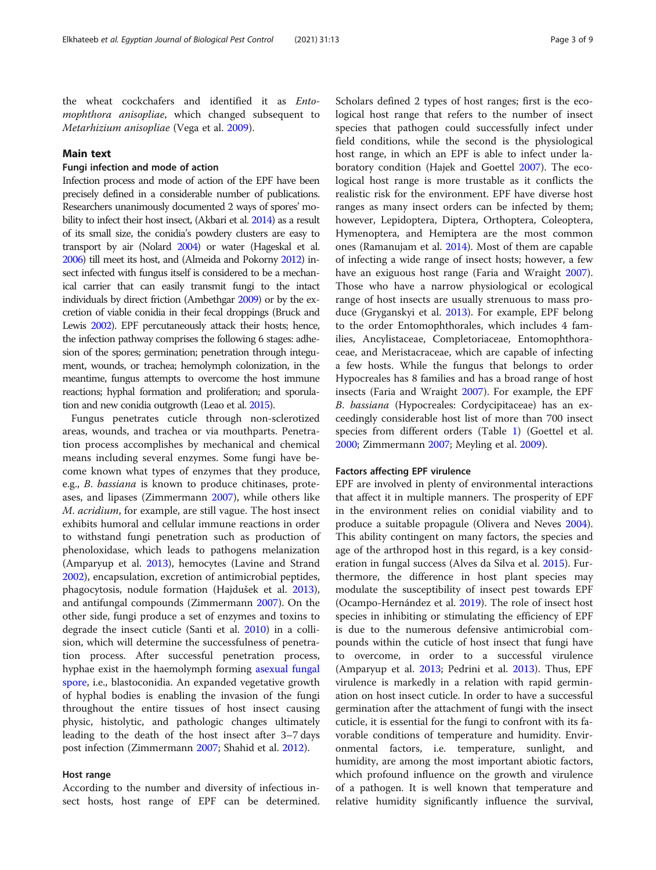the wheat cockchafers and identified it as Entomophthora anisopliae, which changed subsequent to Metarhizium anisopliae (Vega et al. [2009\)](#page-8-0).

## Main text

## Fungi infection and mode of action

Infection process and mode of action of the EPF have been precisely defined in a considerable number of publications. Researchers unanimously documented 2 ways of spores' mobility to infect their host insect, (Akbari et al. [2014\)](#page-6-0) as a result of its small size, the conidia's powdery clusters are easy to transport by air (Nolard [2004](#page-7-0)) or water (Hageskal et al. [2006](#page-7-0)) till meet its host, and (Almeida and Pokorny [2012\)](#page-6-0) insect infected with fungus itself is considered to be a mechanical carrier that can easily transmit fungi to the intact individuals by direct friction (Ambethgar [2009\)](#page-6-0) or by the excretion of viable conidia in their fecal droppings (Bruck and Lewis [2002](#page-6-0)). EPF percutaneously attack their hosts; hence, the infection pathway comprises the following 6 stages: adhesion of the spores; germination; penetration through integument, wounds, or trachea; hemolymph colonization, in the meantime, fungus attempts to overcome the host immune reactions; hyphal formation and proliferation; and sporulation and new conidia outgrowth (Leao et al. [2015\)](#page-7-0).

Fungus penetrates cuticle through non-sclerotized areas, wounds, and trachea or via mouthparts. Penetration process accomplishes by mechanical and chemical means including several enzymes. Some fungi have become known what types of enzymes that they produce, e.g., B. bassiana is known to produce chitinases, proteases, and lipases (Zimmermann [2007\)](#page-8-0), while others like M. acridium, for example, are still vague. The host insect exhibits humoral and cellular immune reactions in order to withstand fungi penetration such as production of phenoloxidase, which leads to pathogens melanization (Amparyup et al. [2013\)](#page-6-0), hemocytes (Lavine and Strand [2002](#page-7-0)), encapsulation, excretion of antimicrobial peptides, phagocytosis, nodule formation (Hajdušek et al. [2013](#page-7-0)), and antifungal compounds (Zimmermann [2007\)](#page-8-0). On the other side, fungi produce a set of enzymes and toxins to degrade the insect cuticle (Santi et al. [2010\)](#page-7-0) in a collision, which will determine the successfulness of penetration process. After successful penetration process, hyphae exist in the haemolymph forming [asexual](https://en.wikipedia.org/wiki/Asexual_reproduction) [fungal](https://en.wikipedia.org/wiki/Fungal) [spore,](https://en.wikipedia.org/wiki/Spore) i.e., blastoconidia. An expanded vegetative growth of hyphal bodies is enabling the invasion of the fungi throughout the entire tissues of host insect causing physic, histolytic, and pathologic changes ultimately leading to the death of the host insect after 3–7 days post infection (Zimmermann [2007](#page-8-0); Shahid et al. [2012](#page-8-0)).

#### Host range

According to the number and diversity of infectious insect hosts, host range of EPF can be determined.

Scholars defined 2 types of host ranges; first is the ecological host range that refers to the number of insect species that pathogen could successfully infect under field conditions, while the second is the physiological host range, in which an EPF is able to infect under laboratory condition (Hajek and Goettel [2007](#page-7-0)). The ecological host range is more trustable as it conflicts the realistic risk for the environment. EPF have diverse host ranges as many insect orders can be infected by them; however, Lepidoptera, Diptera, Orthoptera, Coleoptera, Hymenoptera, and Hemiptera are the most common ones (Ramanujam et al. [2014](#page-7-0)). Most of them are capable of infecting a wide range of insect hosts; however, a few have an exiguous host range (Faria and Wraight [2007](#page-6-0)). Those who have a narrow physiological or ecological range of host insects are usually strenuous to mass produce (Gryganskyi et al. [2013](#page-7-0)). For example, EPF belong to the order Entomophthorales, which includes 4 families, Ancylistaceae, Completoriaceae, Entomophthoraceae, and Meristacraceae, which are capable of infecting a few hosts. While the fungus that belongs to order Hypocreales has 8 families and has a broad range of host insects (Faria and Wraight [2007](#page-6-0)). For example, the EPF B. bassiana (Hypocreales: Cordycipitaceae) has an exceedingly considerable host list of more than 700 insect species from different orders (Table [1](#page-3-0)) (Goettel et al. [2000](#page-7-0); Zimmermann [2007;](#page-8-0) Meyling et al. [2009\)](#page-7-0).

## Factors affecting EPF virulence

EPF are involved in plenty of environmental interactions that affect it in multiple manners. The prosperity of EPF in the environment relies on conidial viability and to produce a suitable propagule (Olivera and Neves [2004](#page-7-0)). This ability contingent on many factors, the species and age of the arthropod host in this regard, is a key consideration in fungal success (Alves da Silva et al. [2015\)](#page-6-0). Furthermore, the difference in host plant species may modulate the susceptibility of insect pest towards EPF (Ocampo-Hernández et al. [2019\)](#page-7-0). The role of insect host species in inhibiting or stimulating the efficiency of EPF is due to the numerous defensive antimicrobial compounds within the cuticle of host insect that fungi have to overcome, in order to a successful virulence (Amparyup et al. [2013](#page-6-0); Pedrini et al. [2013](#page-7-0)). Thus, EPF virulence is markedly in a relation with rapid germination on host insect cuticle. In order to have a successful germination after the attachment of fungi with the insect cuticle, it is essential for the fungi to confront with its favorable conditions of temperature and humidity. Environmental factors, i.e. temperature, sunlight, and humidity, are among the most important abiotic factors, which profound influence on the growth and virulence of a pathogen. It is well known that temperature and relative humidity significantly influence the survival,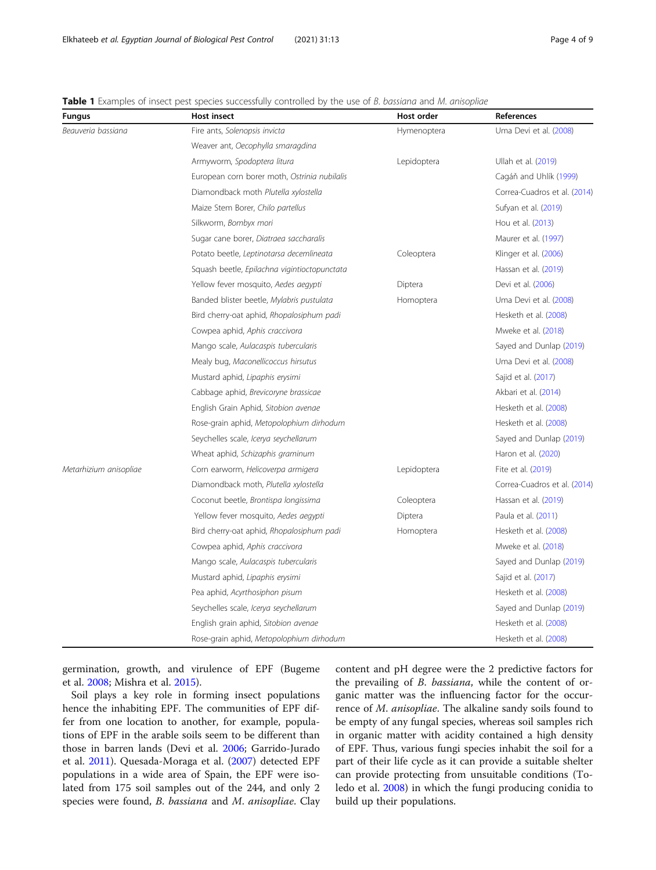| <b>Fungus</b>          | <b>Host insect</b>                           | Host order  | References                   |
|------------------------|----------------------------------------------|-------------|------------------------------|
| Beauveria bassiana     | Fire ants, Solenopsis invicta                | Hymenoptera | Uma Devi et al. (2008)       |
|                        | Weaver ant, Oecophylla smaragdina            |             |                              |
|                        | Armyworm, Spodoptera litura                  | Lepidoptera | Ullah et al. (2019)          |
|                        | European corn borer moth, Ostrinia nubilalis |             | Cagáň and Uhlík (1999)       |
|                        | Diamondback moth Plutella xylostella         |             | Correa-Cuadros et al. (2014) |
|                        | Maize Stem Borer, Chilo partellus            |             | Sufyan et al. (2019)         |
|                        | Silkworm, Bombyx mori                        |             | Hou et al. (2013)            |
|                        | Sugar cane borer, Diatraea saccharalis       |             | Maurer et al. (1997)         |
|                        | Potato beetle, Leptinotarsa decemlineata     | Coleoptera  | Klinger et al. (2006)        |
|                        | Squash beetle, Epilachna vigintioctopunctata |             | Hassan et al. (2019)         |
|                        | Yellow fever mosquito, Aedes aegypti         | Diptera     | Devi et al. (2006)           |
|                        | Banded blister beetle, Mylabris pustulata    | Homoptera   | Uma Devi et al. (2008)       |
|                        | Bird cherry-oat aphid, Rhopalosiphum padi    |             | Hesketh et al. (2008)        |
|                        | Cowpea aphid, Aphis craccivora               |             | Mweke et al. (2018)          |
|                        | Mango scale, Aulacaspis tubercularis         |             | Sayed and Dunlap (2019)      |
|                        | Mealy bug, Maconellicoccus hirsutus          |             | Uma Devi et al. (2008)       |
|                        | Mustard aphid, Lipaphis erysimi              |             | Sajid et al. (2017)          |
|                        | Cabbage aphid, Brevicoryne brassicae         |             | Akbari et al. (2014)         |
|                        | English Grain Aphid, Sitobion avenae         |             | Hesketh et al. (2008)        |
|                        | Rose-grain aphid, Metopolophium dirhodum     |             | Hesketh et al. (2008)        |
|                        | Seychelles scale, Icerya seychellarum        |             | Sayed and Dunlap (2019)      |
|                        | Wheat aphid, Schizaphis graminum             |             | Haron et al. (2020)          |
| Metarhizium anisopliae | Corn earworm, Helicoverpa armigera           | Lepidoptera | Fite et al. (2019)           |
|                        | Diamondback moth, Plutella xylostella        |             | Correa-Cuadros et al. (2014) |
|                        | Coconut beetle, Brontispa longissima         | Coleoptera  | Hassan et al. (2019)         |
|                        | Yellow fever mosquito, Aedes aegypti         | Diptera     | Paula et al. (2011)          |
|                        | Bird cherry-oat aphid, Rhopalosiphum padi    | Homoptera   | Hesketh et al. (2008)        |
|                        | Cowpea aphid, Aphis craccivora               |             | Mweke et al. (2018)          |
|                        | Mango scale, Aulacaspis tubercularis         |             | Sayed and Dunlap (2019)      |
|                        | Mustard aphid, Lipaphis erysimi              |             | Sajid et al. (2017)          |
|                        | Pea aphid, Acyrthosiphon pisum               |             | Hesketh et al. (2008)        |
|                        | Seychelles scale, Icerya seychellarum        |             | Sayed and Dunlap (2019)      |
|                        | English grain aphid, Sitobion avenae         |             | Hesketh et al. (2008)        |
|                        | Rose-grain aphid, Metopolophium dirhodum     |             | Hesketh et al. (2008)        |

<span id="page-3-0"></span>Table 1 Examples of insect pest species successfully controlled by the use of B. bassiana and M. anisopliae

germination, growth, and virulence of EPF (Bugeme et al. [2008;](#page-6-0) Mishra et al. [2015\)](#page-7-0).

Soil plays a key role in forming insect populations hence the inhabiting EPF. The communities of EPF differ from one location to another, for example, populations of EPF in the arable soils seem to be different than those in barren lands (Devi et al. [2006;](#page-6-0) Garrido-Jurado et al. [2011](#page-6-0)). Quesada-Moraga et al. ([2007\)](#page-7-0) detected EPF populations in a wide area of Spain, the EPF were isolated from 175 soil samples out of the 244, and only 2 species were found, *B. bassiana* and *M. anisopliae*. Clay content and pH degree were the 2 predictive factors for the prevailing of B. bassiana, while the content of organic matter was the influencing factor for the occurrence of M. anisopliae. The alkaline sandy soils found to be empty of any fungal species, whereas soil samples rich in organic matter with acidity contained a high density of EPF. Thus, various fungi species inhabit the soil for a part of their life cycle as it can provide a suitable shelter can provide protecting from unsuitable conditions (Toledo et al. [2008\)](#page-8-0) in which the fungi producing conidia to build up their populations.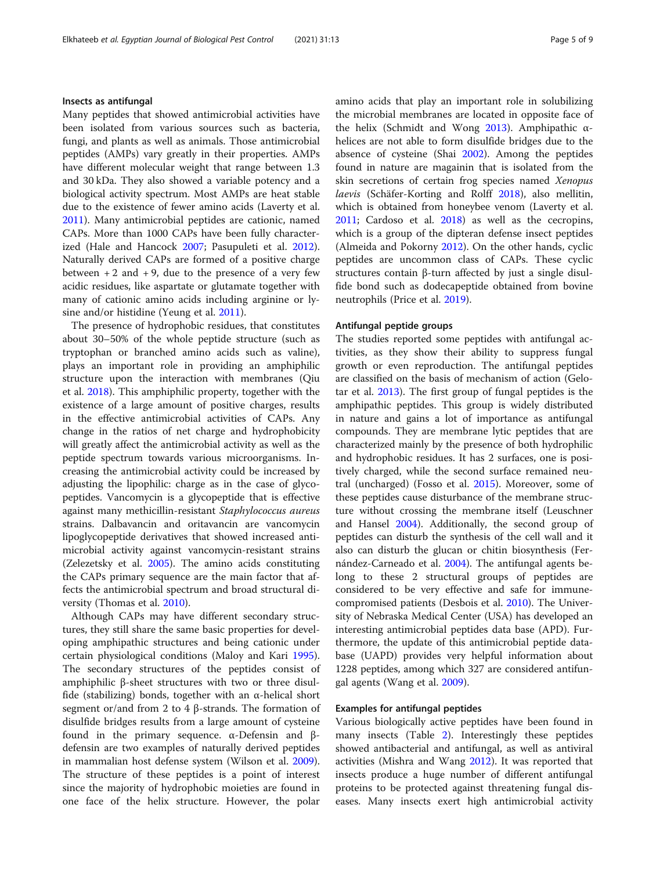# Insects as antifungal

Many peptides that showed antimicrobial activities have been isolated from various sources such as bacteria, fungi, and plants as well as animals. Those antimicrobial peptides (AMPs) vary greatly in their properties. AMPs have different molecular weight that range between 1.3 and 30 kDa. They also showed a variable potency and a biological activity spectrum. Most AMPs are heat stable due to the existence of fewer amino acids (Laverty et al. [2011](#page-7-0)). Many antimicrobial peptides are cationic, named CAPs. More than 1000 CAPs have been fully characterized (Hale and Hancock [2007](#page-7-0); Pasupuleti et al. [2012](#page-7-0)). Naturally derived CAPs are formed of a positive charge between  $+ 2$  and  $+ 9$ , due to the presence of a very few acidic residues, like aspartate or glutamate together with many of cationic amino acids including arginine or ly-sine and/or histidine (Yeung et al. [2011](#page-8-0)).

The presence of hydrophobic residues, that constitutes about 30–50% of the whole peptide structure (such as tryptophan or branched amino acids such as valine), plays an important role in providing an amphiphilic structure upon the interaction with membranes (Qiu et al. [2018\)](#page-7-0). This amphiphilic property, together with the existence of a large amount of positive charges, results in the effective antimicrobial activities of CAPs. Any change in the ratios of net charge and hydrophobicity will greatly affect the antimicrobial activity as well as the peptide spectrum towards various microorganisms. Increasing the antimicrobial activity could be increased by adjusting the lipophilic: charge as in the case of glycopeptides. Vancomycin is a glycopeptide that is effective against many methicillin-resistant Staphylococcus aureus strains. Dalbavancin and oritavancin are vancomycin lipoglycopeptide derivatives that showed increased antimicrobial activity against vancomycin-resistant strains (Zelezetsky et al. [2005\)](#page-8-0). The amino acids constituting the CAPs primary sequence are the main factor that affects the antimicrobial spectrum and broad structural diversity (Thomas et al. [2010\)](#page-8-0).

Although CAPs may have different secondary structures, they still share the same basic properties for developing amphipathic structures and being cationic under certain physiological conditions (Maloy and Kari [1995](#page-7-0)). The secondary structures of the peptides consist of amphiphilic β-sheet structures with two or three disulfide (stabilizing) bonds, together with an α-helical short segment or/and from 2 to 4 β-strands. The formation of disulfide bridges results from a large amount of cysteine found in the primary sequence. α-Defensin and βdefensin are two examples of naturally derived peptides in mammalian host defense system (Wilson et al. [2009](#page-8-0)). The structure of these peptides is a point of interest since the majority of hydrophobic moieties are found in one face of the helix structure. However, the polar amino acids that play an important role in solubilizing the microbial membranes are located in opposite face of the helix (Schmidt and Wong [2013](#page-7-0)). Amphipathic αhelices are not able to form disulfide bridges due to the absence of cysteine (Shai [2002](#page-8-0)). Among the peptides found in nature are magainin that is isolated from the skin secretions of certain frog species named Xenopus laevis (Schäfer-Korting and Rolff [2018](#page-7-0)), also mellitin, which is obtained from honeybee venom (Laverty et al. [2011](#page-7-0); Cardoso et al. [2018\)](#page-6-0) as well as the cecropins, which is a group of the dipteran defense insect peptides (Almeida and Pokorny [2012\)](#page-6-0). On the other hands, cyclic peptides are uncommon class of CAPs. These cyclic structures contain β-turn affected by just a single disulfide bond such as dodecapeptide obtained from bovine neutrophils (Price et al. [2019](#page-7-0)).

## Antifungal peptide groups

The studies reported some peptides with antifungal activities, as they show their ability to suppress fungal growth or even reproduction. The antifungal peptides are classified on the basis of mechanism of action (Gelotar et al. [2013\)](#page-7-0). The first group of fungal peptides is the amphipathic peptides. This group is widely distributed in nature and gains a lot of importance as antifungal compounds. They are membrane lytic peptides that are characterized mainly by the presence of both hydrophilic and hydrophobic residues. It has 2 surfaces, one is positively charged, while the second surface remained neutral (uncharged) (Fosso et al. [2015\)](#page-6-0). Moreover, some of these peptides cause disturbance of the membrane structure without crossing the membrane itself (Leuschner and Hansel [2004\)](#page-7-0). Additionally, the second group of peptides can disturb the synthesis of the cell wall and it also can disturb the glucan or chitin biosynthesis (Fernández-Carneado et al. [2004](#page-6-0)). The antifungal agents belong to these 2 structural groups of peptides are considered to be very effective and safe for immunecompromised patients (Desbois et al. [2010\)](#page-6-0). The University of Nebraska Medical Center (USA) has developed an interesting antimicrobial peptides data base (APD). Furthermore, the update of this antimicrobial peptide database (UAPD) provides very helpful information about 1228 peptides, among which 327 are considered antifungal agents (Wang et al. [2009\)](#page-8-0).

#### Examples for antifungal peptides

Various biologically active peptides have been found in many insects (Table [2\)](#page-5-0). Interestingly these peptides showed antibacterial and antifungal, as well as antiviral activities (Mishra and Wang [2012](#page-7-0)). It was reported that insects produce a huge number of different antifungal proteins to be protected against threatening fungal diseases. Many insects exert high antimicrobial activity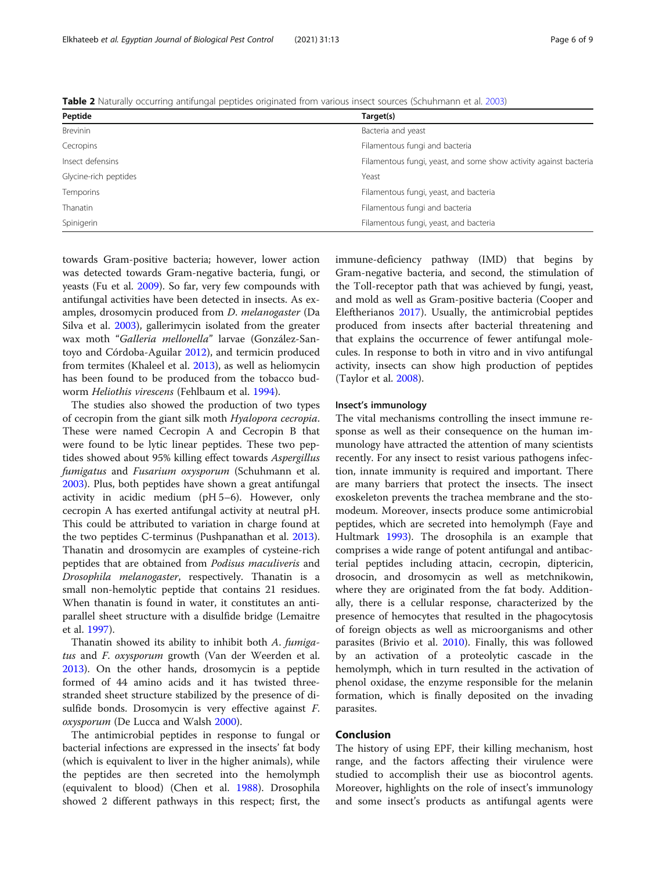towards Gram-positive bacteria; however, lower action was detected towards Gram-negative bacteria, fungi, or yeasts (Fu et al. [2009](#page-6-0)). So far, very few compounds with antifungal activities have been detected in insects. As examples, drosomycin produced from D. melanogaster (Da Silva et al. [2003\)](#page-6-0), gallerimycin isolated from the greater wax moth "Galleria mellonella" larvae (González-Santoyo and Córdoba-Aguilar [2012\)](#page-7-0), and termicin produced from termites (Khaleel et al. [2013](#page-7-0)), as well as heliomycin has been found to be produced from the tobacco budworm Heliothis virescens (Fehlbaum et al. [1994](#page-6-0)).

The studies also showed the production of two types of cecropin from the giant silk moth Hyalopora cecropia. These were named Cecropin A and Cecropin B that were found to be lytic linear peptides. These two peptides showed about 95% killing effect towards Aspergillus fumigatus and Fusarium oxysporum (Schuhmann et al. [2003](#page-8-0)). Plus, both peptides have shown a great antifungal activity in acidic medium (pH 5–6). However, only cecropin A has exerted antifungal activity at neutral pH. This could be attributed to variation in charge found at the two peptides C-terminus (Pushpanathan et al. [2013](#page-7-0)). Thanatin and drosomycin are examples of cysteine-rich peptides that are obtained from Podisus maculiveris and Drosophila melanogaster, respectively. Thanatin is a small non-hemolytic peptide that contains 21 residues. When thanatin is found in water, it constitutes an antiparallel sheet structure with a disulfide bridge (Lemaitre et al. [1997\)](#page-7-0).

Thanatin showed its ability to inhibit both A. fumigatus and F. oxysporum growth (Van der Weerden et al. [2013](#page-8-0)). On the other hands, drosomycin is a peptide formed of 44 amino acids and it has twisted threestranded sheet structure stabilized by the presence of disulfide bonds. Drosomycin is very effective against F. oxysporum (De Lucca and Walsh [2000\)](#page-6-0).

The antimicrobial peptides in response to fungal or bacterial infections are expressed in the insects' fat body (which is equivalent to liver in the higher animals), while the peptides are then secreted into the hemolymph (equivalent to blood) (Chen et al. [1988](#page-6-0)). Drosophila showed 2 different pathways in this respect; first, the immune-deficiency pathway (IMD) that begins by Gram-negative bacteria, and second, the stimulation of the Toll-receptor path that was achieved by fungi, yeast, and mold as well as Gram-positive bacteria (Cooper and Eleftherianos [2017](#page-6-0)). Usually, the antimicrobial peptides produced from insects after bacterial threatening and that explains the occurrence of fewer antifungal molecules. In response to both in vitro and in vivo antifungal activity, insects can show high production of peptides (Taylor et al. [2008\)](#page-8-0).

#### Insect's immunology

The vital mechanisms controlling the insect immune response as well as their consequence on the human immunology have attracted the attention of many scientists recently. For any insect to resist various pathogens infection, innate immunity is required and important. There are many barriers that protect the insects. The insect exoskeleton prevents the trachea membrane and the stomodeum. Moreover, insects produce some antimicrobial peptides, which are secreted into hemolymph (Faye and Hultmark [1993](#page-6-0)). The drosophila is an example that comprises a wide range of potent antifungal and antibacterial peptides including attacin, cecropin, diptericin, drosocin, and drosomycin as well as metchnikowin, where they are originated from the fat body. Additionally, there is a cellular response, characterized by the presence of hemocytes that resulted in the phagocytosis of foreign objects as well as microorganisms and other parasites (Brivio et al. [2010\)](#page-6-0). Finally, this was followed by an activation of a proteolytic cascade in the hemolymph, which in turn resulted in the activation of phenol oxidase, the enzyme responsible for the melanin formation, which is finally deposited on the invading parasites.

#### Conclusion

The history of using EPF, their killing mechanism, host range, and the factors affecting their virulence were studied to accomplish their use as biocontrol agents. Moreover, highlights on the role of insect's immunology and some insect's products as antifungal agents were

<span id="page-5-0"></span>Table 2 Naturally occurring antifungal peptides originated from various insect sources (Schuhmann et al. [2003](#page-8-0))

| Peptide                                                                               | Target(s)                              |  |
|---------------------------------------------------------------------------------------|----------------------------------------|--|
| <b>Brevinin</b><br>Bacteria and yeast                                                 |                                        |  |
| Cecropins                                                                             | Filamentous fungi and bacteria         |  |
| Insect defensins<br>Filamentous fungi, yeast, and some show activity against bacteria |                                        |  |
| Glycine-rich peptides                                                                 | Yeast                                  |  |
| Filamentous fungi, yeast, and bacteria<br>Temporins                                   |                                        |  |
| Thanatin                                                                              | Filamentous fungi and bacteria         |  |
| Spinigerin                                                                            | Filamentous fungi, yeast, and bacteria |  |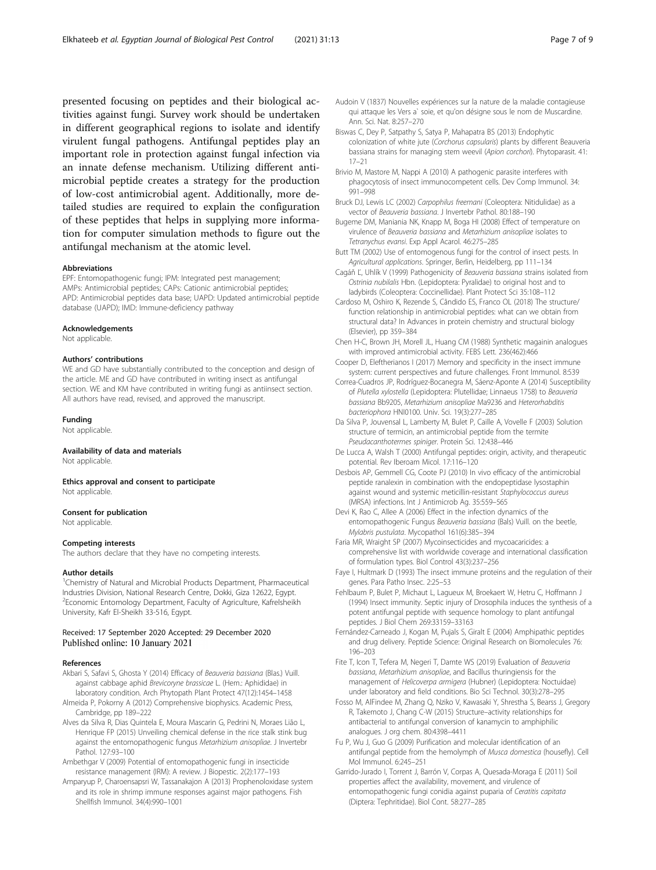<span id="page-6-0"></span>presented focusing on peptides and their biological activities against fungi. Survey work should be undertaken in different geographical regions to isolate and identify virulent fungal pathogens. Antifungal peptides play an important role in protection against fungal infection via an innate defense mechanism. Utilizing different antimicrobial peptide creates a strategy for the production of low-cost antimicrobial agent. Additionally, more detailed studies are required to explain the configuration of these peptides that helps in supplying more information for computer simulation methods to figure out the antifungal mechanism at the atomic level.

#### Abbreviations

EPF: Entomopathogenic fungi; IPM: Integrated pest management; AMPs: Antimicrobial peptides; CAPs: Cationic antimicrobial peptides; APD: Antimicrobial peptides data base; UAPD: Updated antimicrobial peptide database (UAPD); IMD: Immune-deficiency pathway

#### Acknowledgements

Not applicable.

## Authors' contributions

WE and GD have substantially contributed to the conception and design of the article. ME and GD have contributed in writing insect as antifungal section. WE and KM have contributed in writing fungi as antiinsect section. All authors have read, revised, and approved the manuscript.

#### Funding

Not applicable.

# Availability of data and materials

Not applicable

#### Ethics approval and consent to participate Not applicable

#### Consent for publication

Not applicable.

## Competing interests

The authors declare that they have no competing interests.

#### Author details

<sup>1</sup>Chemistry of Natural and Microbial Products Department, Pharmaceutical Industries Division, National Research Centre, Dokki, Giza 12622, Egypt. 2 Economic Entomology Department, Faculty of Agriculture, Kafrelsheikh University, Kafr El-Sheikh 33-516, Egypt.

#### Received: 17 September 2020 Accepted: 29 December 2020 Published online: 10 January 2021

#### References

- Akbari S, Safavi S, Ghosta Y (2014) Efficacy of Beauveria bassiana (Blas.) Vuill. against cabbage aphid Brevicoryne brassicae L. (Hem.: Aphididae) in laboratory condition. Arch Phytopath Plant Protect 47(12):1454–1458
- Almeida P, Pokorny A (2012) Comprehensive biophysics. Academic Press, Cambridge, pp 189–222
- Alves da Silva R, Dias Quintela E, Moura Mascarin G, Pedrini N, Moraes Lião L, Henrique FP (2015) Unveiling chemical defense in the rice stalk stink bug against the entomopathogenic fungus Metarhizium anisopliae. J Invertebr Pathol. 127:93–100
- Ambethgar V (2009) Potential of entomopathogenic fungi in insecticide resistance management (IRM): A review. J Biopestic. 2(2):177–193
- Amparyup P, Charoensapsri W, Tassanakajon A (2013) Prophenoloxidase system and its role in shrimp immune responses against major pathogens. Fish Shellfish Immunol. 34(4):990–1001
- Audoin V (1837) Nouvelles expériences sur la nature de la maladie contagieuse qui attaque les Vers a` soie, et qu'on désigne sous le nom de Muscardine. Ann. Sci. Nat. 8:257–270
- Biswas C, Dey P, Satpathy S, Satya P, Mahapatra BS (2013) Endophytic colonization of white jute (Corchorus capsularis) plants by different Beauveria bassiana strains for managing stem weevil (Apion corchori). Phytoparasit. 41: 17–21
- Brivio M, Mastore M, Nappi A (2010) A pathogenic parasite interferes with phagocytosis of insect immunocompetent cells. Dev Comp Immunol. 34: 991–998
- Bruck DJ, Lewis LC (2002) Carpophilus freemani (Coleoptera: Nitidulidae) as a vector of Beauveria bassiana. J Invertebr Pathol. 80:188–190
- Bugeme DM, Maniania NK, Knapp M, Boga HI (2008) Effect of temperature on virulence of Beauveria bassiana and Metarhizium anisopliae isolates to Tetranychus evansi. Exp Appl Acarol. 46:275–285
- Butt TM (2002) Use of entomogenous fungi for the control of insect pests. In Agricultural applications. Springer, Berlin, Heidelberg, pp 111–134
- Cagáň Ľ, Uhlík V (1999) Pathogenicity of Beauveria bassiana strains isolated from Ostrinia nubilalis Hbn. (Lepidoptera: Pyralidae) to original host and to ladybirds (Coleoptera: Coccinellidae). Plant Protect Sci 35:108–112
- Cardoso M, Oshiro K, Rezende S, Cândido ES, Franco OL (2018) The structure/ function relationship in antimicrobial peptides: what can we obtain from structural data? In Advances in protein chemistry and structural biology (Elsevier), pp 359–384
- Chen H-C, Brown JH, Morell JL, Huang CM (1988) Synthetic magainin analogues with improved antimicrobial activity. FEBS Lett. 236(462):466
- Cooper D, Eleftherianos I (2017) Memory and specificity in the insect immune system: current perspectives and future challenges. Front Immunol. 8:539
- Correa-Cuadros JP, Rodríguez-Bocanegra M, Sáenz-Aponte A (2014) Susceptibility of Plutella xylostella (Lepidoptera: Plutellidae; Linnaeus 1758) to Beauveria bassiana Bb9205, Metarhizium anisopliae Ma9236 and Heterorhabditis bacteriophora HNI0100. Univ. Sci. 19(3):277–285
- Da Silva P, Jouvensal L, Lamberty M, Bulet P, Caille A, Vovelle F (2003) Solution structure of termicin, an antimicrobial peptide from the termite Pseudacanthotermes spiniger. Protein Sci. 12:438–446
- De Lucca A, Walsh T (2000) Antifungal peptides: origin, activity, and therapeutic potential. Rev Iberoam Micol. 17:116–120
- Desbois AP, Gemmell CG, Coote PJ (2010) In vivo efficacy of the antimicrobial peptide ranalexin in combination with the endopeptidase lysostaphin against wound and systemic meticillin-resistant Staphylococcus aureus (MRSA) infections. Int J Antimicrob Ag. 35:559–565
- Devi K, Rao C, Allee A (2006) Effect in the infection dynamics of the entomopathogenic Fungus Beauveria bassiana (Bals) Vuill. on the beetle, Mylabris pustulata. Mycopathol 161(6):385–394
- Faria MR, Wraight SP (2007) Mycoinsecticides and mycoacaricides: a comprehensive list with worldwide coverage and international classification of formulation types. Biol Control 43(3):237–256
- Faye I, Hultmark D (1993) The insect immune proteins and the regulation of their genes. Para Patho Insec. 2:25–53
- Fehlbaum P, Bulet P, Michaut L, Lagueux M, Broekaert W, Hetru C, Hoffmann J (1994) Insect immunity. Septic injury of Drosophila induces the synthesis of a potent antifungal peptide with sequence homology to plant antifungal peptides. J Biol Chem 269:33159–33163
- Fernández-Carneado J, Kogan M, Pujals S, Giralt E (2004) Amphipathic peptides and drug delivery. Peptide Science: Original Research on Biomolecules 76: 196–203
- Fite T, Icon T, Tefera M, Negeri T, Damte WS (2019) Evaluation of Beauveria bassiana, Metarhizium anisopliae, and Bacillus thuringiensis for the management of Helicoverpa armigera (Hubner) (Lepidoptera: Noctuidae) under laboratory and field conditions. Bio Sci Technol. 30(3):278–295
- Fosso M, AlFindee M, Zhang Q, Nziko V, Kawasaki Y, Shrestha S, Bearss J, Gregory R, Takemoto J, Chang C-W (2015) Structure–activity relationships for antibacterial to antifungal conversion of kanamycin to amphiphilic analogues. J org chem. 80:4398–4411
- Fu P, Wu J, Guo G (2009) Purification and molecular identification of an antifungal peptide from the hemolymph of Musca domestica (housefly). Cell Mol Immunol. 6:245–251
- Garrido-Jurado I, Torrent J, Barrón V, Corpas A, Quesada-Moraga E (2011) Soil properties affect the availability, movement, and virulence of entomopathogenic fungi conidia against puparia of Ceratitis capitata (Diptera: Tephritidae). Biol Cont. 58:277–285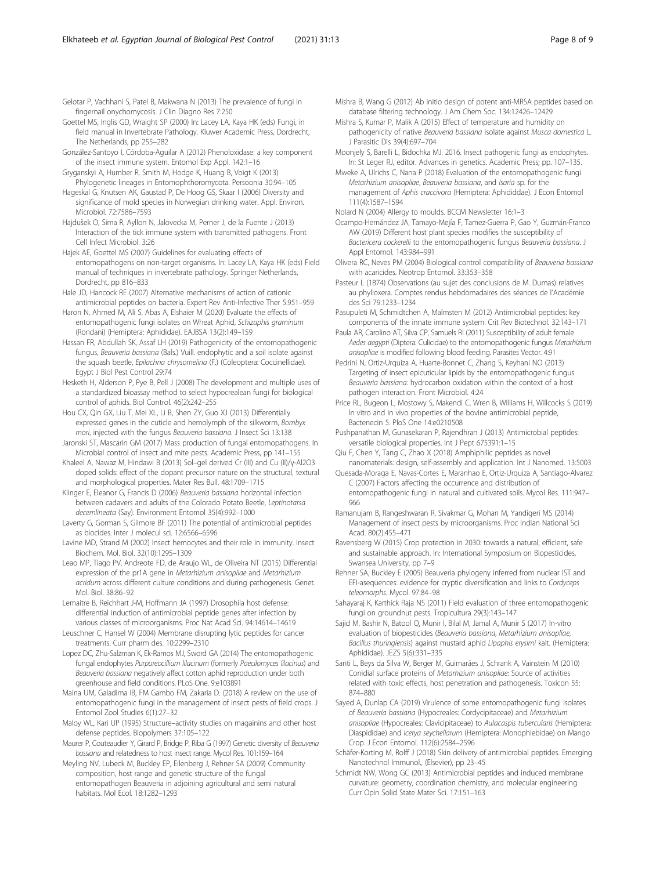<span id="page-7-0"></span>Gelotar P, Vachhani S, Patel B, Makwana N (2013) The prevalence of fungi in fingernail onychomycosis. J Clin Diagno Res 7:250

- Goettel MS, Inglis GD, Wraight SP (2000) In: Lacey LA, Kaya HK (eds) Fungi, in field manual in Invertebrate Pathology. Kluwer Academic Press, Dordrecht, The Netherlands, pp 255–282
- González-Santoyo I, Córdoba-Aguilar A (2012) Phenoloxidase: a key component of the insect immune system. Entomol Exp Appl. 142:1–16
- Gryganskyi A, Humber R, Smith M, Hodge K, Huang B, Voigt K (2013) Phylogenetic lineages in Entomophthoromycota. Persoonia 30:94–105
- Hageskal G, Knutsen AK, Gaustad P, De Hoog GS, Skaar I (2006) Diversity and significance of mold species in Norwegian drinking water. Appl. Environ. Microbiol. 72:7586–7593
- Hajdušek O, Sima R, Ayllon N, Jalovecka M, Perner J, de la Fuente J (2013) Interaction of the tick immune system with transmitted pathogens. Front Cell Infect Microbiol. 3:26
- Hajek AE, Goettel MS (2007) Guidelines for evaluating effects of entomopathogens on non-target organisms. In: Lacey LA, Kaya HK (eds) Field manual of techniques in invertebrate pathology. Springer Netherlands, Dordrecht, pp 816–833
- Hale JD, Hancock RE (2007) Alternative mechanisms of action of cationic antimicrobial peptides on bacteria. Expert Rev Anti-Infective Ther 5:951–959
- Haron N, Ahmed M, Ali S, Abas A, Elshaier M (2020) Evaluate the effects of entomopathogenic fungi isolates on Wheat Aphid, Schizaphis graminum (Rondani) (Hemiptera: Aphididae). EAJBSA 13(2):149–159
- Hassan FR, Abdullah SK, Assaf LH (2019) Pathogenicity of the entomopathogenic fungus, Beauveria bassiana (Bals.) Vuill. endophytic and a soil isolate against the squash beetle, Epilachna chrysomelina (F.) (Coleoptera: Coccinellidae). Egypt J Biol Pest Control 29:74
- Hesketh H, Alderson P, Pye B, Pell J (2008) The development and multiple uses of a standardized bioassay method to select hypocrealean fungi for biological control of aphids. Biol Control. 46(2):242–255
- Hou CX, Qin GX, Liu T, Mei XL, Li B, Shen ZY, Guo XJ (2013) Differentially expressed genes in the cuticle and hemolymph of the silkworm, Bombyx mori, injected with the fungus Beauveria bassiana. J Insect Sci 13:138
- Jaronski ST, Mascarin GM (2017) Mass production of fungal entomopathogens. In Microbial control of insect and mite pests. Academic Press, pp 141–155
- Khaleel A, Nawaz M, Hindawi B (2013) Sol–gel derived Cr (III) and Cu (II)/γ-Al2O3 doped solids: effect of the dopant precursor nature on the structural, textural and morphological properties. Mater Res Bull. 48:1709–1715
- Klinger E, Eleanor G, Francis D (2006) Beauveria bassiana horizontal infection between cadavers and adults of the Colorado Potato Beetle, Leptinotarsa decemlineata (Say). Environment Entomol 35(4):992–1000
- Laverty G, Gorman S, Gilmore BF (2011) The potential of antimicrobial peptides as biocides. Inter J molecul sci. 12:6566–6596
- Lavine MD, Strand M (2002) Insect hemocytes and their role in immunity. Insect Biochem. Mol. Biol. 32(10):1295–1309
- Leao MP, Tiago PV, Andreote FD, de Araujo WL, de Oliveira NT (2015) Differential expression of the pr1A gene in Metarhizium anisopliae and Metarhizium acridum across different culture conditions and during pathogenesis. Genet. Mol. Biol. 38:86–92
- Lemaitre B, Reichhart J-M, Hoffmann JA (1997) Drosophila host defense: differential induction of antimicrobial peptide genes after infection by various classes of microorganisms. Proc Nat Acad Sci. 94:14614–14619
- Leuschner C, Hansel W (2004) Membrane disrupting lytic peptides for cancer treatments. Curr pharm des. 10:2299–2310
- Lopez DC, Zhu-Salzman K, Ek-Ramos MJ, Sword GA (2014) The entomopathogenic fungal endophytes Purpureocillium lilacinum (formerly Paecilomyces lilacinus) and Beauveria bassiana negatively affect cotton aphid reproduction under both greenhouse and field conditions. PLoS One. 9:e103891
- Maina UM, Galadima IB, FM Gambo FM, Zakaria D. (2018) A review on the use of entomopathogenic fungi in the management of insect pests of field crops. J Entomol Zool Studies 6(1):27–32
- Maloy WL, Kari UP (1995) Structure–activity studies on magainins and other host defense peptides. Biopolymers 37:105–122
- Maurer P, Couteaudier Y, Girard P, Bridge P, Riba G (1997) Genetic diversity of Beauveria bassiana and relatedness to host insect range. Mycol Res. 101:159–164
- Meyling NV, Lubeck M, Buckley EP, Eilenberg J, Rehner SA (2009) Community composition, host range and genetic structure of the fungal entomopathogen Beauveria in adjoining agricultural and semi natural habitats. Mol Ecol. 18:1282–1293
- Mishra B, Wang G (2012) Ab initio design of potent anti-MRSA peptides based on database filtering technology. J Am Chem Soc. 134:12426–12429
- Mishra S, Kumar P, Malik A (2015) Effect of temperature and humidity on pathogenicity of native Beauveria bassiana isolate against Musca domestica L. J Parasitic Dis 39(4):697–704
- Moonjely S, Barelli L, Bidochka MJ. 2016. Insect pathogenic fungi as endophytes. In: St Leger RJ, editor. Advances in genetics. Academic Press; pp. 107–135.
- Mweke A, Ulrichs C, Nana P (2018) Evaluation of the entomopathogenic fungi Metarhizium anisopliae, Beauveria bassiana, and Isaria sp. for the management of Aphis craccivora (Hemiptera: Aphididdae). J Econ Entomol 111(4):1587–1594
- Nolard N (2004) Allergy to moulds. BCCM Newsletter 16:1–3
- Ocampo-Hernández JA, Tamayo-Mejía F, Tamez-Guerra P, Gao Y, Guzmán-Franco AW (2019) Different host plant species modifies the susceptibility of Bactericera cockerelli to the entomopathogenic fungus Beauveria bassiana. J Appl Entomol. 143:984–991
- Olivera RC, Neves PM (2004) Biological control compatibility of Beauveria bassiana with acaricides. Neotrop Entomol. 33:353–358
- Pasteur L (1874) Observations (au sujet des conclusions de M. Dumas) relatives au phylloxera. Comptes rendus hebdomadaires des séances de l'Académie des Sci 79:1233–1234
- Pasupuleti M, Schmidtchen A, Malmsten M (2012) Antimicrobial peptides: key components of the innate immune system. Crit Rev Biotechnol. 32:143–171
- Paula AR, Carolino AT, Silva CP, Samuels RI (2011) Susceptibility of adult female Aedes aegypti (Diptera: Culicidae) to the entomopathogenic fungus Metarhizium anisopliae is modified following blood feeding. Parasites Vector. 4:91
- Pedrini N, Ortiz-Urquiza A, Huarte-Bonnet C, Zhang S, Keyhani NO (2013) Targeting of insect epicuticular lipids by the entomopathogenic fungus Beauveria bassiana: hydrocarbon oxidation within the context of a host pathogen interaction. Front Microbiol. 4:24
- Price RL, Bugeon L, Mostowy S, Makendi C, Wren B, Williams H, Willcocks S (2019) In vitro and in vivo properties of the bovine antimicrobial peptide, Bactenecin 5. PloS One 14:e0210508
- Pushpanathan M, Gunasekaran P, Rajendhran J (2013) Antimicrobial peptides: versatile biological properties. Int J Pept 675391:1–15
- Qiu F, Chen Y, Tang C, Zhao X (2018) Amphiphilic peptides as novel nanomaterials: design, self-assembly and application. Int J Nanomed. 13:5003
- Quesada-Moraga E, Navas-Cortes E, Maranhao E, Ortiz-Urquiza A, Santiago-Alvarez C (2007) Factors affecting the occurrence and distribution of entomopathogenic fungi in natural and cultivated soils. Mycol Res. 111:947– 966
- Ramanujam B, Rangeshwaran R, Sivakmar G, Mohan M, Yandigeri MS (2014) Management of insect pests by microorganisms. Proc Indian National Sci Acad. 80(2):455–471
- Ravensberg W (2015) Crop protection in 2030: towards a natural, efficient, safe and sustainable approach. In: International Symposium on Biopesticides, Swansea University, pp 7–9
- Rehner SA, Buckley E (2005) Beauveria phylogeny inferred from nuclear IST and EFI-asequences: evidence for cryptic diversification and links to Cordyceps teleomorphs. Mycol. 97:84–98
- Sahayaraj K, Karthick Raja NS (2011) Field evaluation of three entomopathogenic fungi on groundnut pests. Tropicultura 29(3):143–147
- Sajid M, Bashir N, Batool Q, Munir I, Bilal M, Jamal A, Munir S (2017) In-vitro evaluation of biopesticides (Beauveria bassiana, Metarhizium anisopliae, Bacillus thuringiensis) against mustard aphid Lipaphis erysimi kalt. (Hemiptera: Aphididae). JEZS 5(6):331–335
- Santi L, Beys da Silva W, Berger M, Guimarães J, Schrank A, Vainstein M (2010) Conidial surface proteins of Metarhizium anisopliae: Source of activities related with toxic effects, host penetration and pathogenesis. Toxicon 55: 874–880
- Sayed A, Dunlap CA (2019) Virulence of some entomopathogenic fungi isolates of Beauveria bassiana (Hypocreales: Cordycipitaceae) and Metarhizium anisopliae (Hypocreales: Clavicipitaceae) to Aulacaspis tubercularis (Hemiptera: Diaspididae) and Icerya seychellarum (Hemiptera: Monophlebidae) on Mango Crop. J Econ Entomol. 112(6):2584–2596
- Schäfer-Korting M, Rolff J (2018) Skin delivery of antimicrobial peptides. Emerging Nanotechnol Immunol., (Elsevier), pp 23–45
- Schmidt NW, Wong GC (2013) Antimicrobial peptides and induced membrane curvature: geometry, coordination chemistry, and molecular engineering. Curr Opin Solid State Mater Sci. 17:151–163